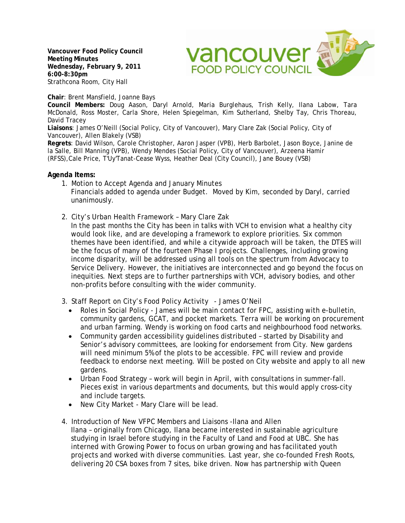**Vancouver Food Policy Council Meeting Minutes Wednesday, February 9, 2011 6:00-8:30pm**  Strathcona Room, City Hall



**Chair**: Brent Mansfield, Joanne Bays

**Council Members:** Doug Aason, Daryl Arnold, Maria Burglehaus, Trish Kelly, Ilana Labow, Tara McDonald, Ross Moster, Carla Shore, Helen Spiegelman, Kim Sutherland, Shelby Tay, Chris Thoreau, David Tracey

**Liaisons**: James O'Neill (Social Policy, City of Vancouver), Mary Clare Zak (Social Policy, City of Vancouver), Allen Blakely (VSB)

**Regrets**: David Wilson, Carole Christopher, Aaron Jasper (VPB), Herb Barbolet, Jason Boyce, Janine de la Salle, Bill Manning (VPB), Wendy Mendes (Social Policy, City of Vancouver), Arzeena Hamir (RFSS),Cale Price, T'Uy'Tanat-Cease Wyss, Heather Deal (City Council), Jane Bouey (VSB)

## **Agenda Items:**

- 1. Motion to Accept Agenda and January Minutes Financials added to agenda under Budget. Moved by Kim, seconded by Daryl, carried unanimously.
- 2. City's Urban Health Framework Mary Clare Zak

In the past months the City has been in talks with VCH to envision what a healthy city would look like, and are developing a framework to explore priorities. Six common themes have been identified, and while a citywide approach will be taken, the DTES will be the focus of many of the fourteen Phase I projects. Challenges, including growing income disparity, will be addressed using all tools on the spectrum from Advocacy to Service Delivery. However, the initiatives are interconnected and go beyond the focus on inequities. Next steps are to further partnerships with VCH, advisory bodies, and other non-profits before consulting with the wider community.

- 3. Staff Report on City's Food Policy Activity James O'Neil
	- Roles in Social Policy James will be main contact for FPC, assisting with e-bulletin, community gardens, GCAT, and pocket markets. Terra will be working on procurement and urban farming. Wendy is working on food carts and neighbourhood food networks.
	- Community garden accessibility guidelines distributed started by Disability and Senior's advisory committees, are looking for endorsement from City. New gardens will need minimum 5% of the plots to be accessible. FPC will review and provide feedback to endorse next meeting. Will be posted on City website and apply to all new gardens.
	- Urban Food Strategy work will begin in April, with consultations in summer-fall. Pieces exist in various departments and documents, but this would apply cross-city and include targets.
	- New City Market Mary Clare will be lead.
- 4. Introduction of New VFPC Members and Liaisons -Ilana and Allen Ilana – originally from Chicago, Ilana became interested in sustainable agriculture studying in Israel before studying in the Faculty of Land and Food at UBC. She has interned with Growing Power to focus on urban growing and has facilitated youth projects and worked with diverse communities. Last year, she co-founded Fresh Roots, delivering 20 CSA boxes from 7 sites, bike driven. Now has partnership with Queen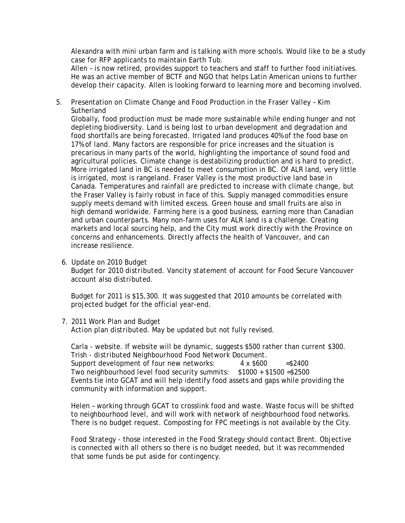Alexandra with mini urban farm and is talking with more schools. Would like to be a study case for RFP applicants to maintain Earth Tub.

Allen – is now retired, provides support to teachers and staff to further food initiatives. He was an active member of BCTF and NGO that helps Latin American unions to further develop their capacity. Allen is looking forward to learning more and becoming involved.

5. Presentation on Climate Change and Food Production in the Fraser Valley – Kim **Sutherland** 

Globally, food production must be made more sustainable while ending hunger and not depleting biodiversity. Land is being lost to urban development and degradation and food shortfalls are being forecasted. Irrigated land produces 40% of the food base on 17% of land. Many factors are responsible for price increases and the situation is precarious in many parts of the world, highlighting the importance of sound food and agricultural policies. Climate change is destabilizing production and is hard to predict. More irrigated land in BC is needed to meet consumption in BC. Of ALR land, very little is irrigated, most is rangeland. Fraser Valley is the most productive land base in Canada. Temperatures and rainfall are predicted to increase with climate change, but the Fraser Valley is fairly robust in face of this. Supply managed commodities ensure supply meets demand with limited excess. Green house and small fruits are also in high demand worldwide. Farming here is a good business, earning more than Canadian and urban counterparts. Many non-farm uses for ALR land is a challenge. Creating markets and local sourcing help, and the City must work directly with the Province on concerns and enhancements. Directly affects the health of Vancouver, and can increase resilience.

6. Update on 2010 Budget *Budget for 2010 distributed. Vancity statement of account for Food Secure Vancouver account also distributed.* 

Budget for 2011 is \$15,300. It was suggested that 2010 amounts be correlated with projected budget for the official year-end.

7. 2011 Work Plan and Budget

*Action plan distributed.* May be updated but not fully revised.

Carla - website. If website will be dynamic, suggests \$500 rather than current \$300. Trish - d*istributed Neighbourhood Food Network Document.* Support development of four new networks:  $4 \times $600 = $2400$ Two neighbourhood level food security summits: \$1000 + \$1500 =\$2500 Events tie into GCAT and will help identify food assets and gaps while providing the community with information and support.

Helen – working through GCAT to crosslink food and waste. Waste focus will be shifted to neighbourhood level, and will work with network of neighbourhood food networks. There is no budget request. Composting for FPC meetings is not available by the City.

Food Strategy - those interested in the Food Strategy should contact Brent. Objective is connected with all others so there is no budget needed, but it was recommended that some funds be put aside for contingency.